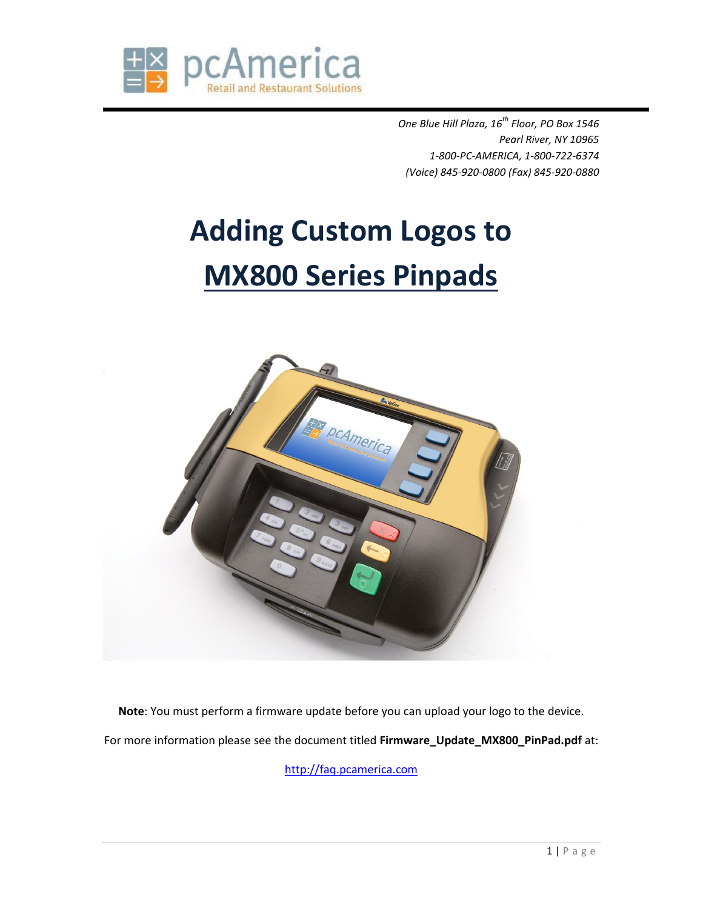

*One Blue Hill Plaza, 16th Floor, PO Box 1546 Pearl River, NY 10965 1-800-PC-AMERICA, 1-800-722-6374 (Voice) 845-920-0800 (Fax) 845-920-0880*

## **Adding Custom Logos to MX800 Series Pinpads**



**Note**: You must perform a firmware update before you can upload your logo to the device. For more information please see the document titled **Firmware\_Update\_MX800\_PinPad.pdf** at:

[http://faq.pcamerica.com](http://faq.pcamerica.com/)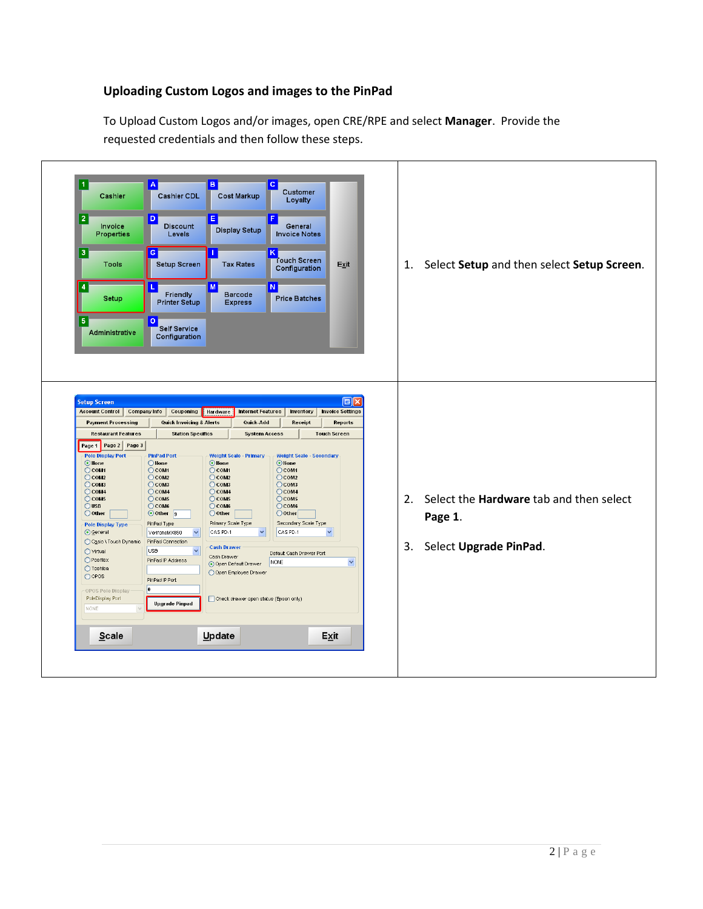## **Uploading Custom Logos and images to the PinPad**

To Upload Custom Logos and/or images, open CRE/RPE and select **Manager**. Provide the requested credentials and then follow these steps.

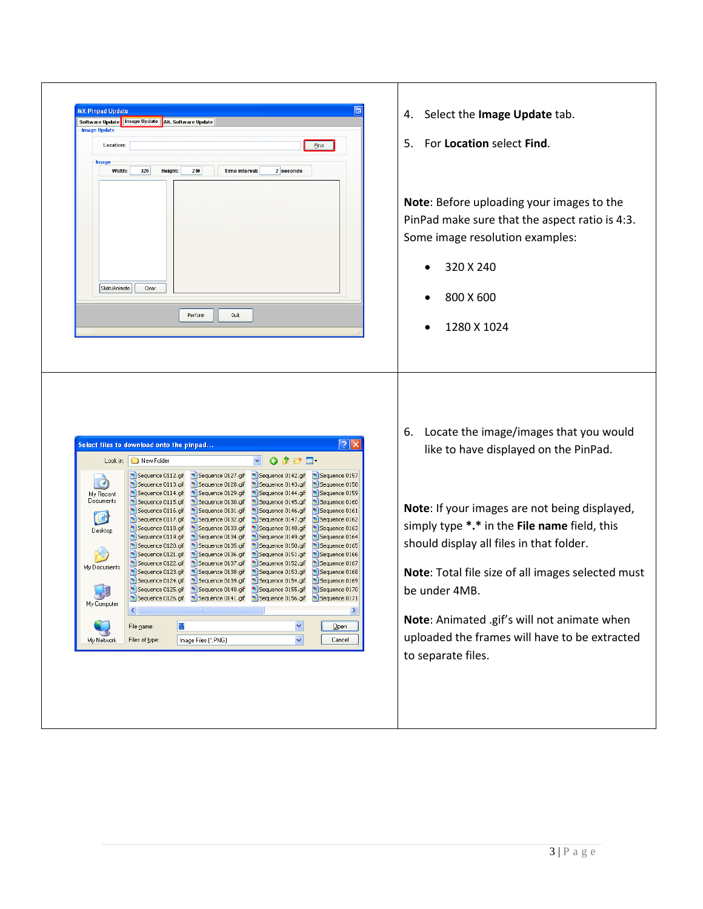| <b>MX Pinpad Update</b> | Software Update   Image Update   Alt. Software Update |                                        |                                        |                                |    |                                                                                 |
|-------------------------|-------------------------------------------------------|----------------------------------------|----------------------------------------|--------------------------------|----|---------------------------------------------------------------------------------|
| <b>Image Update</b>     |                                                       |                                        |                                        |                                |    |                                                                                 |
| Location:               |                                                       |                                        |                                        | Eind                           | 5. | For Location select Find.                                                       |
| Image                   |                                                       |                                        |                                        |                                |    |                                                                                 |
| Width:                  | Height:<br>320                                        | 240<br>Time interval:                  | 2 seconds                              |                                |    |                                                                                 |
|                         |                                                       |                                        |                                        |                                |    |                                                                                 |
|                         |                                                       |                                        |                                        |                                |    |                                                                                 |
|                         |                                                       |                                        |                                        |                                |    | Note: Before uploading your images to the                                       |
|                         |                                                       |                                        |                                        |                                |    | PinPad make sure that the aspect ratio is 4:3.                                  |
|                         |                                                       |                                        |                                        |                                |    | Some image resolution examples:                                                 |
|                         |                                                       |                                        |                                        |                                |    |                                                                                 |
|                         |                                                       |                                        |                                        |                                |    | 320 X 240                                                                       |
|                         |                                                       |                                        |                                        |                                |    |                                                                                 |
| Slide/Animate           | Clear                                                 |                                        |                                        |                                |    |                                                                                 |
|                         |                                                       |                                        |                                        |                                |    | 800 X 600                                                                       |
|                         |                                                       | Quit<br>Perform                        |                                        |                                |    |                                                                                 |
|                         |                                                       |                                        |                                        |                                |    | 1280 X 1024                                                                     |
|                         |                                                       |                                        |                                        |                                |    |                                                                                 |
|                         |                                                       |                                        |                                        |                                |    |                                                                                 |
|                         |                                                       |                                        |                                        |                                |    |                                                                                 |
|                         | Select files to download onto the pinpad              |                                        |                                        | <u>न्ना<math>\times</math></u> | 6. | Locate the image/images that you would<br>like to have displayed on the PinPad. |
|                         | Look in: <b>D</b> New Folder                          |                                        | $O$ $D$ $D$ $E$                        |                                |    |                                                                                 |
| $(\cdot)$               | Sequence 0112.gif<br>Sequence 0113.gif                | Sequence 0127.gif<br>Sequence 0128.gif | Sequence 0142.gif<br>Sequence 0143.gif | Sequence 0157<br>Sequence 0158 |    |                                                                                 |
| My Recent               | Sequence 0114.gif                                     | Sequence 0129.gif                      | Sequence 0144.gif                      | Sequence 0159                  |    |                                                                                 |
| Documents               | Sequence 0115.gif<br>Sequence 0116.gif                | Sequence 0130.gif<br>Sequence 0131.gif | Sequence 0145.gif<br>Sequence 0146.gif | Sequence 0160<br>Sequence 0161 |    | Note: If your images are not being displayed,                                   |
| G                       | Sequence 0117.gif                                     | Sequence 0132.gif                      | Sequence 0147.gif                      | Sequence 0162                  |    |                                                                                 |
| Desktop                 | Sequence 0118.gif<br>Sequence 0119.gif                | Sequence 0133.gif<br>Sequence 0134.gif | Sequence 0148.gif<br>Sequence 0149.gif | Sequence 0163<br>Sequence 0164 |    | simply type *.* in the File name field, this                                    |
|                         | Sequence 0120.gif                                     | Sequence 0135.gif                      | Sequence 0150.gif                      | Sequence 0165                  |    | should display all files in that folder.                                        |
| My Documents            | Sequence 0121.gif<br>Sequence 0122.gif                | Sequence 0136.gif<br>Sequence 0137.gif | Sequence 0151.gif<br>Sequence 0152.gif | Sequence 0166<br>Sequence 0167 |    |                                                                                 |
|                         | Sequence 0123.gif                                     | Sequence 0138.gif<br>Sequence 0139.qif | Sequence 0153.gif                      | Sequence 0168<br>Sequence 0169 |    | Note: Total file size of all images selected must                               |
|                         | Sequence 0124.gif<br>Sequence 0125.gif                | Sequence 0140.qif                      | Sequence 0154.gif<br>Sequence 0155.gif | Sequence 0170                  |    | be under 4MB.                                                                   |
| My Computer             | Sequence 0126.gif                                     | Sequence 0141.gif                      | Sequence 0156.gif                      | Sequence 0171                  |    |                                                                                 |
|                         | К                                                     |                                        |                                        | ⋗                              |    |                                                                                 |
|                         | File name:                                            |                                        |                                        | Qpen                           |    | Note: Animated .gif's will not animate when                                     |
| My Network              | Files of type:                                        | Image Files (*.PNG)                    | v                                      | Cancel                         |    | uploaded the frames will have to be extracted                                   |
|                         |                                                       |                                        |                                        |                                |    | to separate files.                                                              |
|                         |                                                       |                                        |                                        |                                |    |                                                                                 |
|                         |                                                       |                                        |                                        |                                |    |                                                                                 |
|                         |                                                       |                                        |                                        |                                |    |                                                                                 |
|                         |                                                       |                                        |                                        |                                |    |                                                                                 |
|                         |                                                       |                                        |                                        |                                |    |                                                                                 |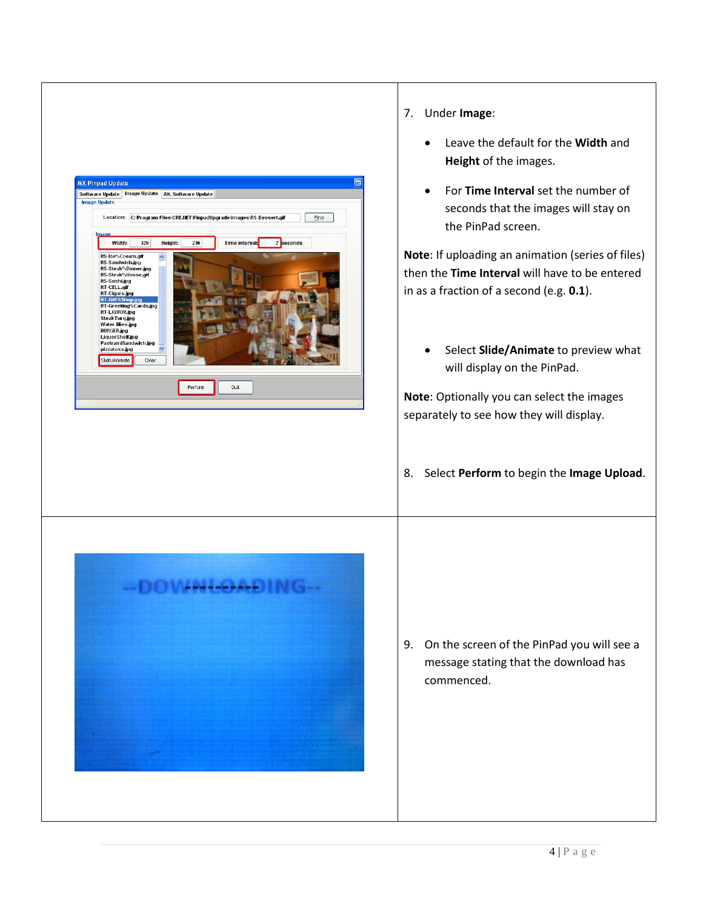

- 7. Under **Image**:
	- Leave the default for the **Width** and **Height** of the images.
	- For **Time Interval** set the number of seconds that the images will stay on the PinPad screen.

**Note**: If uploading an animation (series of files) then the **Time Interval** will have to be entered in as a fraction of a second (e.g. **0.1**).

**•** Select **Slide/Animate** to preview what will display on the PinPad.

**Note**: Optionally you can select the images separately to see how they will display.

8. Select **Perform** to begin the **Image Upload**.



9. On the screen of the PinPad you will see a message stating that the download has commenced.